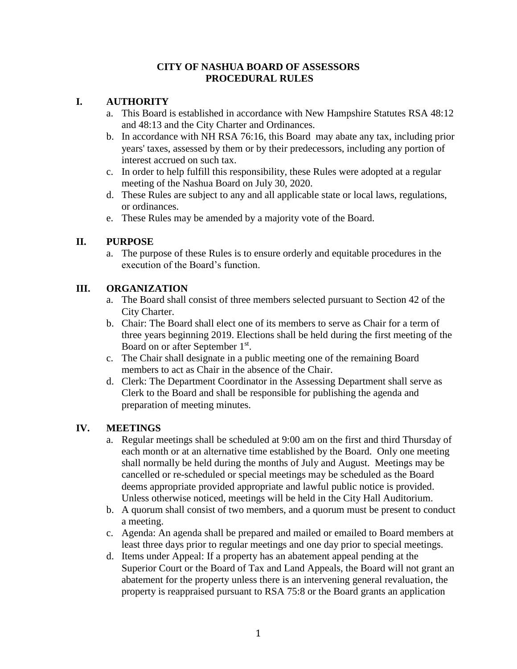#### **CITY OF NASHUA BOARD OF ASSESSORS PROCEDURAL RULES**

### **I. AUTHORITY**

- a. This Board is established in accordance with New Hampshire Statutes RSA 48:12 and 48:13 and the City Charter and Ordinances.
- b. In accordance with NH RSA 76:16, this Board may abate any tax, including prior years' taxes, assessed by them or by their predecessors, including any portion of interest accrued on such tax.
- c. In order to help fulfill this responsibility, these Rules were adopted at a regular meeting of the Nashua Board on July 30, 2020.
- d. These Rules are subject to any and all applicable state or local laws, regulations, or ordinances.
- e. These Rules may be amended by a majority vote of the Board.

## **II. PURPOSE**

a. The purpose of these Rules is to ensure orderly and equitable procedures in the execution of the Board's function.

## **III. ORGANIZATION**

- a. The Board shall consist of three members selected pursuant to Section 42 of the City Charter.
- b. Chair: The Board shall elect one of its members to serve as Chair for a term of three years beginning 2019. Elections shall be held during the first meeting of the Board on or after September 1st.
- c. The Chair shall designate in a public meeting one of the remaining Board members to act as Chair in the absence of the Chair.
- d. Clerk: The Department Coordinator in the Assessing Department shall serve as Clerk to the Board and shall be responsible for publishing the agenda and preparation of meeting minutes.

#### **IV. MEETINGS**

- a. Regular meetings shall be scheduled at 9:00 am on the first and third Thursday of each month or at an alternative time established by the Board. Only one meeting shall normally be held during the months of July and August. Meetings may be cancelled or re-scheduled or special meetings may be scheduled as the Board deems appropriate provided appropriate and lawful public notice is provided. Unless otherwise noticed, meetings will be held in the City Hall Auditorium.
- b. A quorum shall consist of two members, and a quorum must be present to conduct a meeting.
- c. Agenda: An agenda shall be prepared and mailed or emailed to Board members at least three days prior to regular meetings and one day prior to special meetings.
- d. Items under Appeal: If a property has an abatement appeal pending at the Superior Court or the Board of Tax and Land Appeals, the Board will not grant an abatement for the property unless there is an intervening general revaluation, the property is reappraised pursuant to RSA 75:8 or the Board grants an application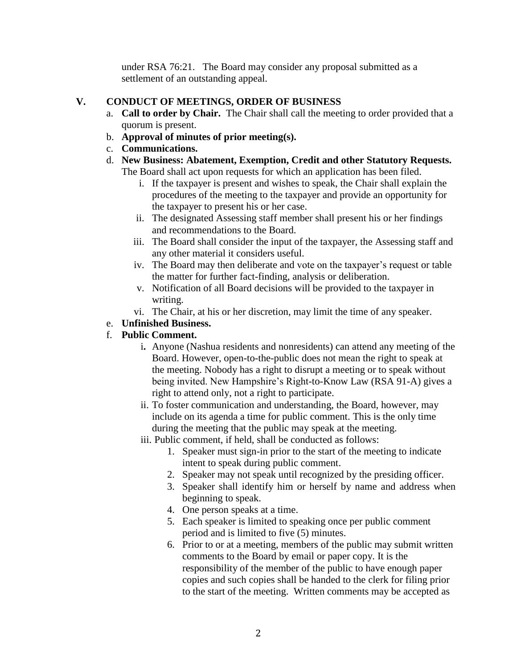under RSA 76:21. The Board may consider any proposal submitted as a settlement of an outstanding appeal.

#### **V. CONDUCT OF MEETINGS, ORDER OF BUSINESS**

- a. **Call to order by Chair.** The Chair shall call the meeting to order provided that a quorum is present.
- b. **Approval of minutes of prior meeting(s).**
- c. **Communications.**
- d. **New Business: Abatement, Exemption, Credit and other Statutory Requests.** The Board shall act upon requests for which an application has been filed.
	- i. If the taxpayer is present and wishes to speak, the Chair shall explain the procedures of the meeting to the taxpayer and provide an opportunity for the taxpayer to present his or her case.
	- ii. The designated Assessing staff member shall present his or her findings and recommendations to the Board.
	- iii. The Board shall consider the input of the taxpayer, the Assessing staff and any other material it considers useful.
	- iv. The Board may then deliberate and vote on the taxpayer's request or table the matter for further fact-finding, analysis or deliberation.
	- v. Notification of all Board decisions will be provided to the taxpayer in writing.
	- vi. The Chair, at his or her discretion, may limit the time of any speaker.

# e. **Unfinished Business.**

# f. **Public Comment.**

- i**.** Anyone (Nashua residents and nonresidents) can attend any meeting of the Board. However, open-to-the-public does not mean the right to speak at the meeting. Nobody has a right to disrupt a meeting or to speak without being invited. New Hampshire's Right-to-Know Law (RSA 91-A) gives a right to attend only, not a right to participate.
- ii. To foster communication and understanding, the Board, however, may include on its agenda a time for public comment. This is the only time during the meeting that the public may speak at the meeting.
- iii. Public comment, if held, shall be conducted as follows:
	- 1. Speaker must sign-in prior to the start of the meeting to indicate intent to speak during public comment.
	- 2. Speaker may not speak until recognized by the presiding officer.
	- 3. Speaker shall identify him or herself by name and address when beginning to speak.
	- 4. One person speaks at a time.
	- 5. Each speaker is limited to speaking once per public comment period and is limited to five (5) minutes.
	- 6. Prior to or at a meeting, members of the public may submit written comments to the Board by email or paper copy. It is the responsibility of the member of the public to have enough paper copies and such copies shall be handed to the clerk for filing prior to the start of the meeting. Written comments may be accepted as